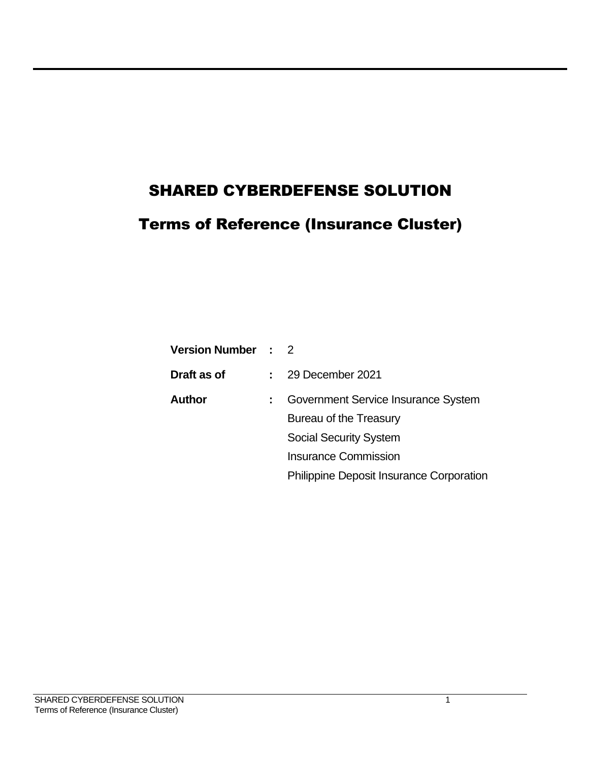# SHARED CYBERDEFENSE SOLUTION

# Terms of Reference (Insurance Cluster)

| <b>Version Number : 2</b> |                                                 |
|---------------------------|-------------------------------------------------|
| Draft as of               | 29 December 2021                                |
| <b>Author</b>             | Government Service Insurance System             |
|                           | Bureau of the Treasury                          |
|                           | <b>Social Security System</b>                   |
|                           | <b>Insurance Commission</b>                     |
|                           | <b>Philippine Deposit Insurance Corporation</b> |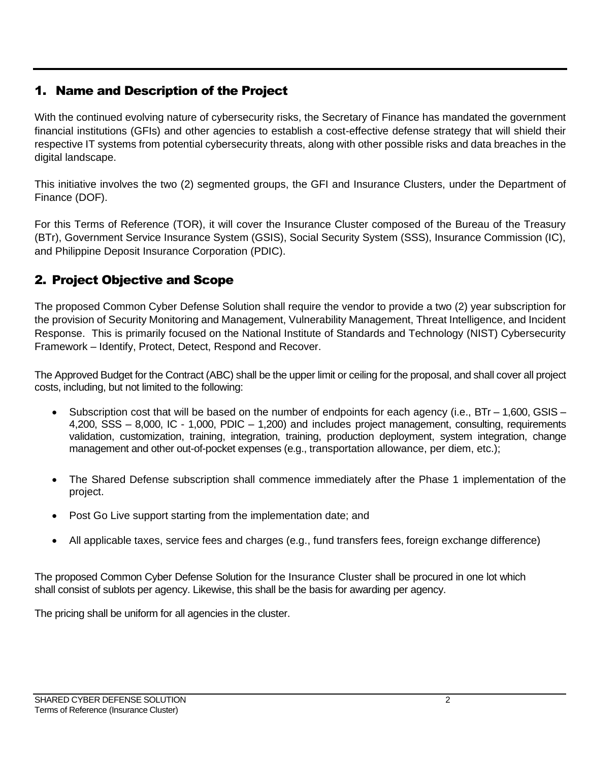# 1. Name and Description of the Project

With the continued evolving nature of cybersecurity risks, the Secretary of Finance has mandated the government financial institutions (GFIs) and other agencies to establish a cost-effective defense strategy that will shield their respective IT systems from potential cybersecurity threats, along with other possible risks and data breaches in the digital landscape.

This initiative involves the two (2) segmented groups, the GFI and Insurance Clusters, under the Department of Finance (DOF).

For this Terms of Reference (TOR), it will cover the Insurance Cluster composed of the Bureau of the Treasury (BTr), Government Service Insurance System (GSIS), Social Security System (SSS), Insurance Commission (IC), and Philippine Deposit Insurance Corporation (PDIC).

# 2. Project Objective and Scope

The proposed Common Cyber Defense Solution shall require the vendor to provide a two (2) year subscription for the provision of Security Monitoring and Management, Vulnerability Management, Threat Intelligence, and Incident Response. This is primarily focused on the National Institute of Standards and Technology (NIST) Cybersecurity Framework – Identify, Protect, Detect, Respond and Recover.

The Approved Budget for the Contract (ABC) shall be the upper limit or ceiling for the proposal, and shall cover all project costs, including, but not limited to the following:

- Subscription cost that will be based on the number of endpoints for each agency (i.e., BTr 1,600, GSIS 4,200, SSS – 8,000, IC - 1,000, PDIC – 1,200) and includes project management, consulting, requirements validation, customization, training, integration, training, production deployment, system integration, change management and other out-of-pocket expenses (e.g., transportation allowance, per diem, etc.);
- The Shared Defense subscription shall commence immediately after the Phase 1 implementation of the project.
- Post Go Live support starting from the implementation date; and
- All applicable taxes, service fees and charges (e.g., fund transfers fees, foreign exchange difference)

The proposed Common Cyber Defense Solution for the Insurance Cluster shall be procured in one lot which shall consist of sublots per agency. Likewise, this shall be the basis for awarding per agency.

The pricing shall be uniform for all agencies in the cluster.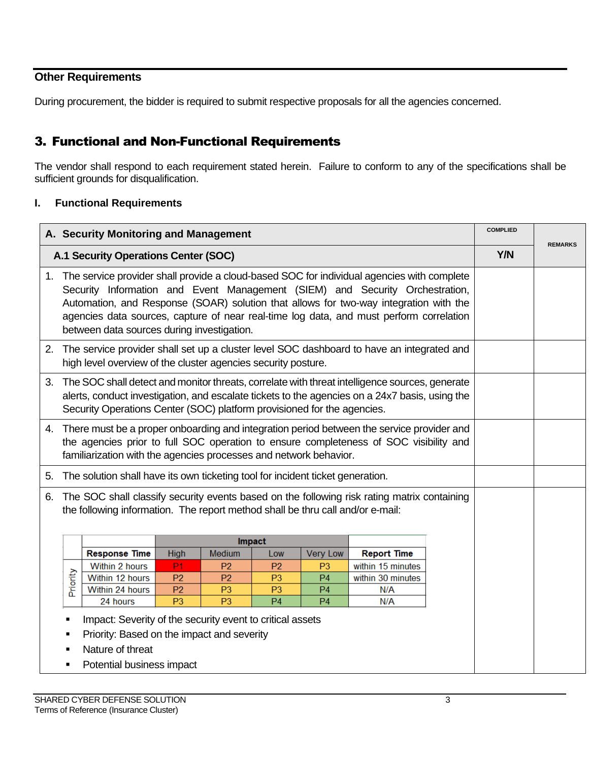# **Other Requirements**

During procurement, the bidder is required to submit respective proposals for all the agencies concerned.

## 3. Functional and Non-Functional Requirements

The vendor shall respond to each requirement stated herein. Failure to conform to any of the specifications shall be sufficient grounds for disqualification.

#### **I. Functional Requirements**

|                                      |                                                                                                                                                                                                                                                                                                                                                                                                                 | A. Security Monitoring and Management                                                                                                                                |                                  |                                  |                                  |                                  |                                                                                              |  | <b>COMPLIED</b> |  |
|--------------------------------------|-----------------------------------------------------------------------------------------------------------------------------------------------------------------------------------------------------------------------------------------------------------------------------------------------------------------------------------------------------------------------------------------------------------------|----------------------------------------------------------------------------------------------------------------------------------------------------------------------|----------------------------------|----------------------------------|----------------------------------|----------------------------------|----------------------------------------------------------------------------------------------|--|-----------------|--|
| A.1 Security Operations Center (SOC) |                                                                                                                                                                                                                                                                                                                                                                                                                 |                                                                                                                                                                      |                                  |                                  |                                  | Y/N                              | <b>REMARKS</b>                                                                               |  |                 |  |
|                                      | 1. The service provider shall provide a cloud-based SOC for individual agencies with complete<br>Security Information and Event Management (SIEM) and Security Orchestration,<br>Automation, and Response (SOAR) solution that allows for two-way integration with the<br>agencies data sources, capture of near real-time log data, and must perform correlation<br>between data sources during investigation. |                                                                                                                                                                      |                                  |                                  |                                  |                                  |                                                                                              |  |                 |  |
|                                      |                                                                                                                                                                                                                                                                                                                                                                                                                 | high level overview of the cluster agencies security posture.                                                                                                        |                                  |                                  |                                  |                                  | 2. The service provider shall set up a cluster level SOC dashboard to have an integrated and |  |                 |  |
| 3.                                   | The SOC shall detect and monitor threats, correlate with threat intelligence sources, generate<br>alerts, conduct investigation, and escalate tickets to the agencies on a 24x7 basis, using the<br>Security Operations Center (SOC) platform provisioned for the agencies.                                                                                                                                     |                                                                                                                                                                      |                                  |                                  |                                  |                                  |                                                                                              |  |                 |  |
|                                      | 4. There must be a proper onboarding and integration period between the service provider and<br>the agencies prior to full SOC operation to ensure completeness of SOC visibility and<br>familiarization with the agencies processes and network behavior.                                                                                                                                                      |                                                                                                                                                                      |                                  |                                  |                                  |                                  |                                                                                              |  |                 |  |
| 5.                                   |                                                                                                                                                                                                                                                                                                                                                                                                                 | The solution shall have its own ticketing tool for incident ticket generation.                                                                                       |                                  |                                  |                                  |                                  |                                                                                              |  |                 |  |
| 6.                                   | The SOC shall classify security events based on the following risk rating matrix containing<br>the following information. The report method shall be thru call and/or e-mail:                                                                                                                                                                                                                                   |                                                                                                                                                                      |                                  |                                  |                                  |                                  |                                                                                              |  |                 |  |
|                                      |                                                                                                                                                                                                                                                                                                                                                                                                                 |                                                                                                                                                                      |                                  |                                  | Impact                           |                                  |                                                                                              |  |                 |  |
|                                      |                                                                                                                                                                                                                                                                                                                                                                                                                 | <b>Response Time</b>                                                                                                                                                 | <b>High</b>                      | Medium                           | Low                              | <b>Very Low</b>                  | <b>Report Time</b>                                                                           |  |                 |  |
|                                      |                                                                                                                                                                                                                                                                                                                                                                                                                 | Within 2 hours                                                                                                                                                       | <b>P1</b>                        | P <sub>2</sub>                   | P <sub>2</sub>                   | P <sub>3</sub>                   | within 15 minutes                                                                            |  |                 |  |
|                                      | Priority                                                                                                                                                                                                                                                                                                                                                                                                        | Within 12 hours                                                                                                                                                      | P <sub>2</sub>                   | P <sub>2</sub>                   | P <sub>3</sub>                   | P <sub>4</sub>                   | within 30 minutes                                                                            |  |                 |  |
|                                      |                                                                                                                                                                                                                                                                                                                                                                                                                 | Within 24 hours                                                                                                                                                      | P <sub>2</sub><br>P <sub>3</sub> | P <sub>3</sub><br>P <sub>3</sub> | P <sub>3</sub><br>P <sub>4</sub> | P <sub>4</sub><br>P <sub>4</sub> | N/A                                                                                          |  |                 |  |
|                                      |                                                                                                                                                                                                                                                                                                                                                                                                                 | 24 hours<br>Impact: Severity of the security event to critical assets<br>Priority: Based on the impact and severity<br>Nature of threat<br>Potential business impact |                                  |                                  |                                  |                                  | N/A                                                                                          |  |                 |  |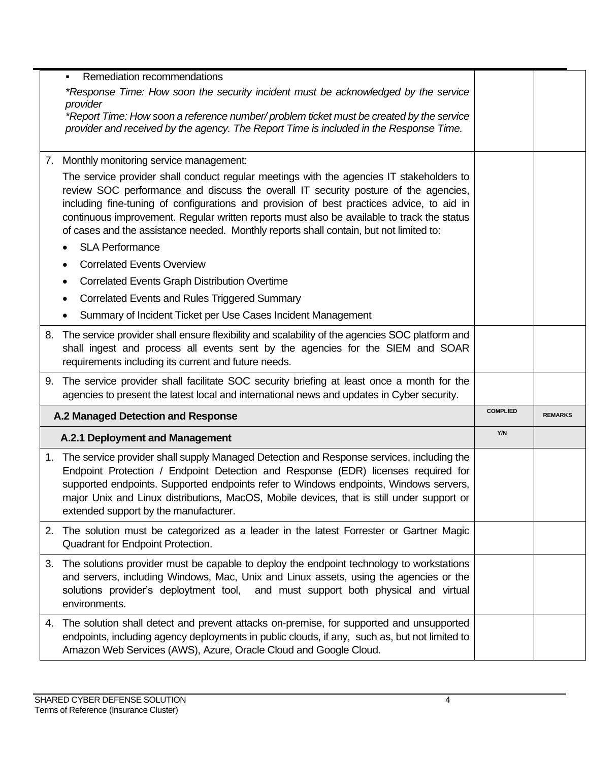|    | Remediation recommendations                                                                                                                                                                                                                                                                                                                                                                                                                                          |                 |                |
|----|----------------------------------------------------------------------------------------------------------------------------------------------------------------------------------------------------------------------------------------------------------------------------------------------------------------------------------------------------------------------------------------------------------------------------------------------------------------------|-----------------|----------------|
|    | *Response Time: How soon the security incident must be acknowledged by the service                                                                                                                                                                                                                                                                                                                                                                                   |                 |                |
|    | provider<br>*Report Time: How soon a reference number/problem ticket must be created by the service<br>provider and received by the agency. The Report Time is included in the Response Time.                                                                                                                                                                                                                                                                        |                 |                |
| 7. | Monthly monitoring service management:                                                                                                                                                                                                                                                                                                                                                                                                                               |                 |                |
|    | The service provider shall conduct regular meetings with the agencies IT stakeholders to<br>review SOC performance and discuss the overall IT security posture of the agencies,<br>including fine-tuning of configurations and provision of best practices advice, to aid in<br>continuous improvement. Regular written reports must also be available to track the status<br>of cases and the assistance needed. Monthly reports shall contain, but not limited to: |                 |                |
|    | <b>SLA Performance</b>                                                                                                                                                                                                                                                                                                                                                                                                                                               |                 |                |
|    | <b>Correlated Events Overview</b><br>٠                                                                                                                                                                                                                                                                                                                                                                                                                               |                 |                |
|    | <b>Correlated Events Graph Distribution Overtime</b><br>٠                                                                                                                                                                                                                                                                                                                                                                                                            |                 |                |
|    | <b>Correlated Events and Rules Triggered Summary</b><br>٠                                                                                                                                                                                                                                                                                                                                                                                                            |                 |                |
|    | Summary of Incident Ticket per Use Cases Incident Management                                                                                                                                                                                                                                                                                                                                                                                                         |                 |                |
| 8. | The service provider shall ensure flexibility and scalability of the agencies SOC platform and<br>shall ingest and process all events sent by the agencies for the SIEM and SOAR<br>requirements including its current and future needs.                                                                                                                                                                                                                             |                 |                |
| 9. | The service provider shall facilitate SOC security briefing at least once a month for the<br>agencies to present the latest local and international news and updates in Cyber security.                                                                                                                                                                                                                                                                              |                 |                |
|    | A.2 Managed Detection and Response                                                                                                                                                                                                                                                                                                                                                                                                                                   | <b>COMPLIED</b> | <b>REMARKS</b> |
|    | A.2.1 Deployment and Management                                                                                                                                                                                                                                                                                                                                                                                                                                      | Y/N             |                |
|    | 1. The service provider shall supply Managed Detection and Response services, including the<br>Endpoint Protection / Endpoint Detection and Response (EDR) licenses required for<br>supported endpoints. Supported endpoints refer to Windows endpoints, Windows servers,<br>major Unix and Linux distributions, MacOS, Mobile devices, that is still under support or<br>extended support by the manufacturer.                                                      |                 |                |
|    | 2. The solution must be categorized as a leader in the latest Forrester or Gartner Magic<br>Quadrant for Endpoint Protection.                                                                                                                                                                                                                                                                                                                                        |                 |                |
| 3. | The solutions provider must be capable to deploy the endpoint technology to workstations<br>and servers, including Windows, Mac, Unix and Linux assets, using the agencies or the<br>solutions provider's deploytment tool, and must support both physical and virtual<br>environments.                                                                                                                                                                              |                 |                |
|    | 4. The solution shall detect and prevent attacks on-premise, for supported and unsupported<br>endpoints, including agency deployments in public clouds, if any, such as, but not limited to<br>Amazon Web Services (AWS), Azure, Oracle Cloud and Google Cloud.                                                                                                                                                                                                      |                 |                |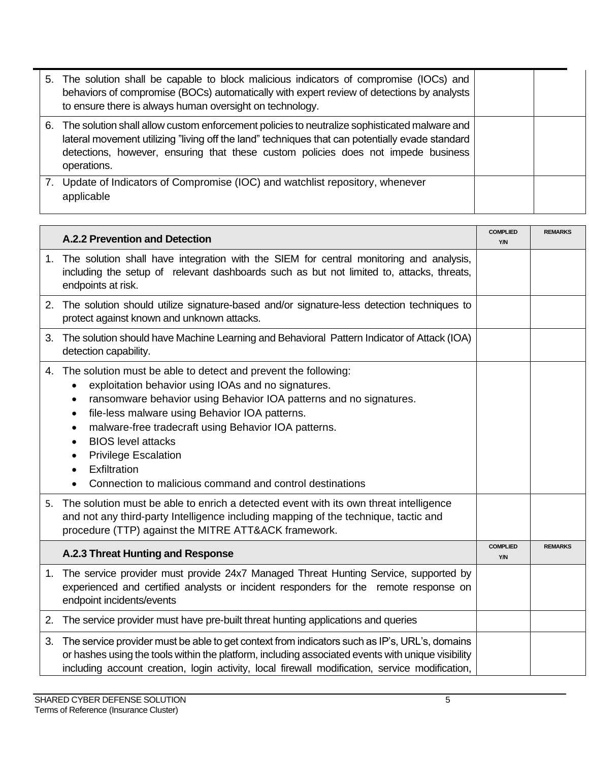|    | 5. The solution shall be capable to block malicious indicators of compromise (IOCs) and<br>behaviors of compromise (BOCs) automatically with expert review of detections by analysts<br>to ensure there is always human oversight on technology.                                                    |  |
|----|-----------------------------------------------------------------------------------------------------------------------------------------------------------------------------------------------------------------------------------------------------------------------------------------------------|--|
| 6. | The solution shall allow custom enforcement policies to neutralize sophisticated malware and<br>lateral movement utilizing "living off the land" techniques that can potentially evade standard<br>detections, however, ensuring that these custom policies does not impede business<br>operations. |  |
|    | Update of Indicators of Compromise (IOC) and watchlist repository, whenever<br>applicable                                                                                                                                                                                                           |  |

|    | <b>A.2.2 Prevention and Detection</b>                                                                                                                                                                                                                                                                                                                                                                                                         | <b>COMPLIED</b><br>Y/N | <b>REMARKS</b> |
|----|-----------------------------------------------------------------------------------------------------------------------------------------------------------------------------------------------------------------------------------------------------------------------------------------------------------------------------------------------------------------------------------------------------------------------------------------------|------------------------|----------------|
|    | 1. The solution shall have integration with the SIEM for central monitoring and analysis,<br>including the setup of relevant dashboards such as but not limited to, attacks, threats,<br>endpoints at risk.                                                                                                                                                                                                                                   |                        |                |
|    | 2. The solution should utilize signature-based and/or signature-less detection techniques to<br>protect against known and unknown attacks.                                                                                                                                                                                                                                                                                                    |                        |                |
| 3. | The solution should have Machine Learning and Behavioral Pattern Indicator of Attack (IOA)<br>detection capability.                                                                                                                                                                                                                                                                                                                           |                        |                |
| 4. | The solution must be able to detect and prevent the following:<br>exploitation behavior using IOAs and no signatures.<br>ransomware behavior using Behavior IOA patterns and no signatures.<br>file-less malware using Behavior IOA patterns.<br>malware-free tradecraft using Behavior IOA patterns.<br><b>BIOS</b> level attacks<br><b>Privilege Escalation</b><br>Exfiltration<br>Connection to malicious command and control destinations |                        |                |
| 5. | The solution must be able to enrich a detected event with its own threat intelligence<br>and not any third-party Intelligence including mapping of the technique, tactic and<br>procedure (TTP) against the MITRE ATT&ACK framework.                                                                                                                                                                                                          |                        |                |
|    | A.2.3 Threat Hunting and Response                                                                                                                                                                                                                                                                                                                                                                                                             | <b>COMPLIED</b><br>Y/N | <b>REMARKS</b> |
|    | 1. The service provider must provide 24x7 Managed Threat Hunting Service, supported by<br>experienced and certified analysts or incident responders for the remote response on<br>endpoint incidents/events                                                                                                                                                                                                                                   |                        |                |
|    | 2. The service provider must have pre-built threat hunting applications and queries                                                                                                                                                                                                                                                                                                                                                           |                        |                |
| 3. | The service provider must be able to get context from indicators such as IP's, URL's, domains<br>or hashes using the tools within the platform, including associated events with unique visibility<br>including account creation, login activity, local firewall modification, service modification,                                                                                                                                          |                        |                |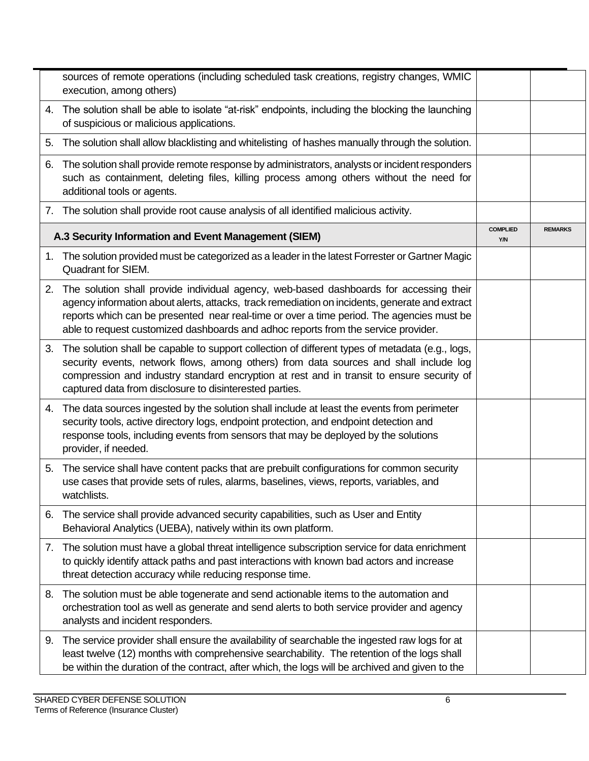|    | sources of remote operations (including scheduled task creations, registry changes, WMIC<br>execution, among others)                                                                                                                                                                                                                                                        |                        |                |
|----|-----------------------------------------------------------------------------------------------------------------------------------------------------------------------------------------------------------------------------------------------------------------------------------------------------------------------------------------------------------------------------|------------------------|----------------|
|    | 4. The solution shall be able to isolate "at-risk" endpoints, including the blocking the launching<br>of suspicious or malicious applications.                                                                                                                                                                                                                              |                        |                |
| 5. | The solution shall allow blacklisting and whitelisting of hashes manually through the solution.                                                                                                                                                                                                                                                                             |                        |                |
| 6. | The solution shall provide remote response by administrators, analysts or incident responders<br>such as containment, deleting files, killing process among others without the need for<br>additional tools or agents.                                                                                                                                                      |                        |                |
|    | 7. The solution shall provide root cause analysis of all identified malicious activity.                                                                                                                                                                                                                                                                                     |                        |                |
|    | A.3 Security Information and Event Management (SIEM)                                                                                                                                                                                                                                                                                                                        | <b>COMPLIED</b><br>Y/N | <b>REMARKS</b> |
|    | 1. The solution provided must be categorized as a leader in the latest Forrester or Gartner Magic<br>Quadrant for SIEM.                                                                                                                                                                                                                                                     |                        |                |
| 2. | The solution shall provide individual agency, web-based dashboards for accessing their<br>agency information about alerts, attacks, track remediation on incidents, generate and extract<br>reports which can be presented near real-time or over a time period. The agencies must be<br>able to request customized dashboards and adhoc reports from the service provider. |                        |                |
| 3. | The solution shall be capable to support collection of different types of metadata (e.g., logs,<br>security events, network flows, among others) from data sources and shall include log<br>compression and industry standard encryption at rest and in transit to ensure security of<br>captured data from disclosure to disinterested parties.                            |                        |                |
| 4. | The data sources ingested by the solution shall include at least the events from perimeter<br>security tools, active directory logs, endpoint protection, and endpoint detection and<br>response tools, including events from sensors that may be deployed by the solutions<br>provider, if needed.                                                                         |                        |                |
| 5. | The service shall have content packs that are prebuilt configurations for common security<br>use cases that provide sets of rules, alarms, baselines, views, reports, variables, and<br>watchlists.                                                                                                                                                                         |                        |                |
|    | 6. The service shall provide advanced security capabilities, such as User and Entity<br>Behavioral Analytics (UEBA), natively within its own platform.                                                                                                                                                                                                                      |                        |                |
| 7. | The solution must have a global threat intelligence subscription service for data enrichment<br>to quickly identify attack paths and past interactions with known bad actors and increase<br>threat detection accuracy while reducing response time.                                                                                                                        |                        |                |
| 8. | The solution must be able togenerate and send actionable items to the automation and<br>orchestration tool as well as generate and send alerts to both service provider and agency<br>analysts and incident responders.                                                                                                                                                     |                        |                |
| 9. | The service provider shall ensure the availability of searchable the ingested raw logs for at<br>least twelve (12) months with comprehensive searchability. The retention of the logs shall<br>be within the duration of the contract, after which, the logs will be archived and given to the                                                                              |                        |                |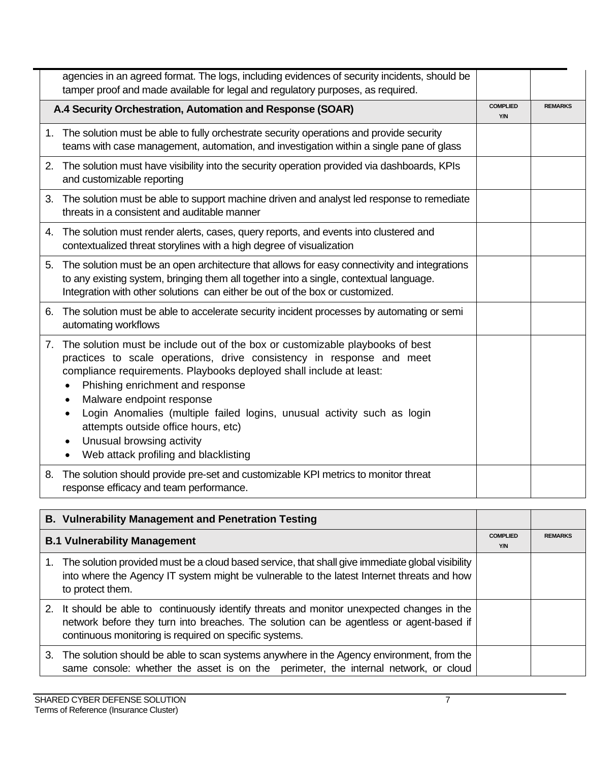|    | agencies in an agreed format. The logs, including evidences of security incidents, should be<br>tamper proof and made available for legal and regulatory purposes, as required.                                                                                                                                                                                                                                                                                                                             |                               |                |
|----|-------------------------------------------------------------------------------------------------------------------------------------------------------------------------------------------------------------------------------------------------------------------------------------------------------------------------------------------------------------------------------------------------------------------------------------------------------------------------------------------------------------|-------------------------------|----------------|
|    | A.4 Security Orchestration, Automation and Response (SOAR)                                                                                                                                                                                                                                                                                                                                                                                                                                                  | <b>COMPLIED</b><br><b>Y/N</b> | <b>REMARKS</b> |
| 1. | The solution must be able to fully orchestrate security operations and provide security<br>teams with case management, automation, and investigation within a single pane of glass                                                                                                                                                                                                                                                                                                                          |                               |                |
|    | 2. The solution must have visibility into the security operation provided via dashboards, KPIs<br>and customizable reporting                                                                                                                                                                                                                                                                                                                                                                                |                               |                |
|    | 3. The solution must be able to support machine driven and analyst led response to remediate<br>threats in a consistent and auditable manner                                                                                                                                                                                                                                                                                                                                                                |                               |                |
|    | 4. The solution must render alerts, cases, query reports, and events into clustered and<br>contextualized threat storylines with a high degree of visualization                                                                                                                                                                                                                                                                                                                                             |                               |                |
|    | 5. The solution must be an open architecture that allows for easy connectivity and integrations<br>to any existing system, bringing them all together into a single, contextual language.<br>Integration with other solutions can either be out of the box or customized.                                                                                                                                                                                                                                   |                               |                |
| 6. | The solution must be able to accelerate security incident processes by automating or semi<br>automating workflows                                                                                                                                                                                                                                                                                                                                                                                           |                               |                |
|    | 7. The solution must be include out of the box or customizable playbooks of best<br>practices to scale operations, drive consistency in response and meet<br>compliance requirements. Playbooks deployed shall include at least:<br>Phishing enrichment and response<br>Malware endpoint response<br>$\bullet$<br>Login Anomalies (multiple failed logins, unusual activity such as login<br>attempts outside office hours, etc)<br>Unusual browsing activity<br>٠<br>Web attack profiling and blacklisting |                               |                |
| 8. | The solution should provide pre-set and customizable KPI metrics to monitor threat<br>response efficacy and team performance.                                                                                                                                                                                                                                                                                                                                                                               |                               |                |

| <b>B. Vulnerability Management and Penetration Testing</b>                                                                                                                                                                                       |                        |                |
|--------------------------------------------------------------------------------------------------------------------------------------------------------------------------------------------------------------------------------------------------|------------------------|----------------|
| <b>B.1 Vulnerability Management</b>                                                                                                                                                                                                              | <b>COMPLIED</b><br>Y/N | <b>REMARKS</b> |
| 1. The solution provided must be a cloud based service, that shall give immediate global visibility<br>into where the Agency IT system might be vulnerable to the latest Internet threats and how<br>to protect them.                            |                        |                |
| 2. It should be able to continuously identify threats and monitor unexpected changes in the<br>network before they turn into breaches. The solution can be agentless or agent-based if<br>continuous monitoring is required on specific systems. |                        |                |
| 3. The solution should be able to scan systems anywhere in the Agency environment, from the<br>same console: whether the asset is on the perimeter, the internal network, or cloud                                                               |                        |                |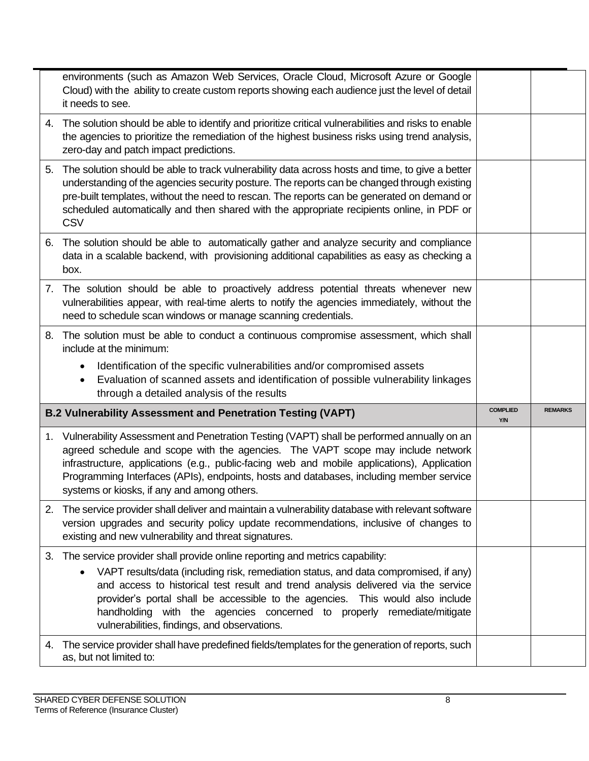|    | environments (such as Amazon Web Services, Oracle Cloud, Microsoft Azure or Google<br>Cloud) with the ability to create custom reports showing each audience just the level of detail<br>it needs to see.                                                                                                                                                                                                                                                               |                        |                |
|----|-------------------------------------------------------------------------------------------------------------------------------------------------------------------------------------------------------------------------------------------------------------------------------------------------------------------------------------------------------------------------------------------------------------------------------------------------------------------------|------------------------|----------------|
|    | 4. The solution should be able to identify and prioritize critical vulnerabilities and risks to enable<br>the agencies to prioritize the remediation of the highest business risks using trend analysis,<br>zero-day and patch impact predictions.                                                                                                                                                                                                                      |                        |                |
|    | 5. The solution should be able to track vulnerability data across hosts and time, to give a better<br>understanding of the agencies security posture. The reports can be changed through existing<br>pre-built templates, without the need to rescan. The reports can be generated on demand or<br>scheduled automatically and then shared with the appropriate recipients online, in PDF or<br><b>CSV</b>                                                              |                        |                |
| 6. | The solution should be able to automatically gather and analyze security and compliance<br>data in a scalable backend, with provisioning additional capabilities as easy as checking a<br>box.                                                                                                                                                                                                                                                                          |                        |                |
|    | 7. The solution should be able to proactively address potential threats whenever new<br>vulnerabilities appear, with real-time alerts to notify the agencies immediately, without the<br>need to schedule scan windows or manage scanning credentials.                                                                                                                                                                                                                  |                        |                |
| 8. | The solution must be able to conduct a continuous compromise assessment, which shall<br>include at the minimum:<br>Identification of the specific vulnerabilities and/or compromised assets                                                                                                                                                                                                                                                                             |                        |                |
|    |                                                                                                                                                                                                                                                                                                                                                                                                                                                                         |                        |                |
|    | Evaluation of scanned assets and identification of possible vulnerability linkages<br>$\bullet$<br>through a detailed analysis of the results                                                                                                                                                                                                                                                                                                                           |                        |                |
|    | B.2 Vulnerability Assessment and Penetration Testing (VAPT)                                                                                                                                                                                                                                                                                                                                                                                                             | <b>COMPLIED</b><br>Y/N | <b>REMARKS</b> |
| 1. | Vulnerability Assessment and Penetration Testing (VAPT) shall be performed annually on an<br>agreed schedule and scope with the agencies. The VAPT scope may include network<br>infrastructure, applications (e.g., public-facing web and mobile applications), Application<br>Programming Interfaces (APIs), endpoints, hosts and databases, including member service<br>systems or kiosks, if any and among others.                                                   |                        |                |
|    | 2. The service provider shall deliver and maintain a vulnerability database with relevant software<br>version upgrades and security policy update recommendations, inclusive of changes to<br>existing and new vulnerability and threat signatures.                                                                                                                                                                                                                     |                        |                |
|    | 3. The service provider shall provide online reporting and metrics capability:<br>VAPT results/data (including risk, remediation status, and data compromised, if any)<br>and access to historical test result and trend analysis delivered via the service<br>provider's portal shall be accessible to the agencies. This would also include<br>handholding with the agencies concerned to properly remediate/mitigate<br>vulnerabilities, findings, and observations. |                        |                |
| 4. | The service provider shall have predefined fields/templates for the generation of reports, such<br>as, but not limited to:                                                                                                                                                                                                                                                                                                                                              |                        |                |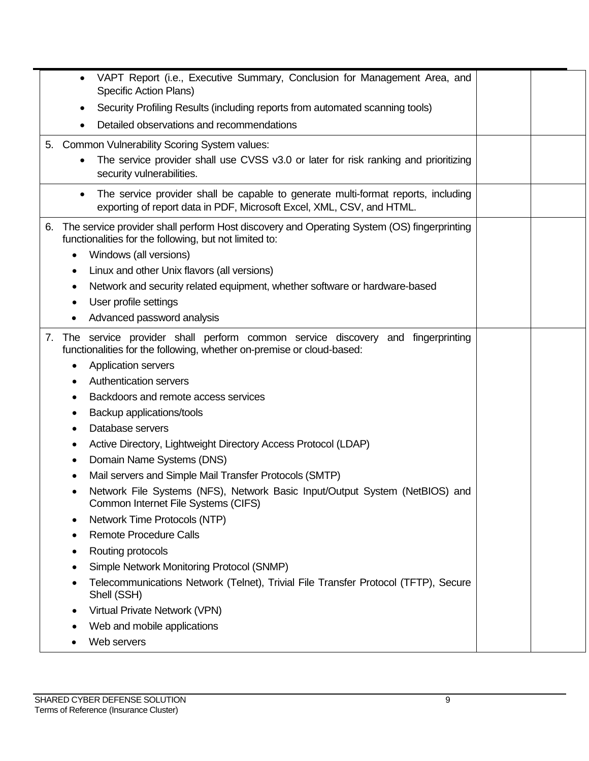| Security Profiling Results (including reports from automated scanning tools)<br>$\bullet$<br>Detailed observations and recommendations<br>5. Common Vulnerability Scoring System values:<br>The service provider shall use CVSS v3.0 or later for risk ranking and prioritizing<br>security vulnerabilities.<br>The service provider shall be capable to generate multi-format reports, including<br>$\bullet$<br>exporting of report data in PDF, Microsoft Excel, XML, CSV, and HTML.<br>The service provider shall perform Host discovery and Operating System (OS) fingerprinting<br>6.<br>functionalities for the following, but not limited to:<br>Windows (all versions)<br>Linux and other Unix flavors (all versions)<br>Network and security related equipment, whether software or hardware-based<br>User profile settings<br>Advanced password analysis<br>The service provider shall perform common service discovery and fingerprinting<br>7.<br>functionalities for the following, whether on-premise or cloud-based:<br><b>Application servers</b><br><b>Authentication servers</b><br>Backdoors and remote access services |
|---------------------------------------------------------------------------------------------------------------------------------------------------------------------------------------------------------------------------------------------------------------------------------------------------------------------------------------------------------------------------------------------------------------------------------------------------------------------------------------------------------------------------------------------------------------------------------------------------------------------------------------------------------------------------------------------------------------------------------------------------------------------------------------------------------------------------------------------------------------------------------------------------------------------------------------------------------------------------------------------------------------------------------------------------------------------------------------------------------------------------------------------|
|                                                                                                                                                                                                                                                                                                                                                                                                                                                                                                                                                                                                                                                                                                                                                                                                                                                                                                                                                                                                                                                                                                                                             |
|                                                                                                                                                                                                                                                                                                                                                                                                                                                                                                                                                                                                                                                                                                                                                                                                                                                                                                                                                                                                                                                                                                                                             |
|                                                                                                                                                                                                                                                                                                                                                                                                                                                                                                                                                                                                                                                                                                                                                                                                                                                                                                                                                                                                                                                                                                                                             |
|                                                                                                                                                                                                                                                                                                                                                                                                                                                                                                                                                                                                                                                                                                                                                                                                                                                                                                                                                                                                                                                                                                                                             |
|                                                                                                                                                                                                                                                                                                                                                                                                                                                                                                                                                                                                                                                                                                                                                                                                                                                                                                                                                                                                                                                                                                                                             |
|                                                                                                                                                                                                                                                                                                                                                                                                                                                                                                                                                                                                                                                                                                                                                                                                                                                                                                                                                                                                                                                                                                                                             |
|                                                                                                                                                                                                                                                                                                                                                                                                                                                                                                                                                                                                                                                                                                                                                                                                                                                                                                                                                                                                                                                                                                                                             |
|                                                                                                                                                                                                                                                                                                                                                                                                                                                                                                                                                                                                                                                                                                                                                                                                                                                                                                                                                                                                                                                                                                                                             |
|                                                                                                                                                                                                                                                                                                                                                                                                                                                                                                                                                                                                                                                                                                                                                                                                                                                                                                                                                                                                                                                                                                                                             |
| Backup applications/tools<br>٠<br>Database servers<br>Active Directory, Lightweight Directory Access Protocol (LDAP)<br>Domain Name Systems (DNS)<br>Mail servers and Simple Mail Transfer Protocols (SMTP)<br>Network File Systems (NFS), Network Basic Input/Output System (NetBIOS) and<br>Common Internet File Systems (CIFS)<br>Network Time Protocols (NTP)<br><b>Remote Procedure Calls</b><br>Routing protocols<br>Simple Network Monitoring Protocol (SNMP)<br>Telecommunications Network (Telnet), Trivial File Transfer Protocol (TFTP), Secure<br>Shell (SSH)<br>Virtual Private Network (VPN)<br>Web and mobile applications                                                                                                                                                                                                                                                                                                                                                                                                                                                                                                   |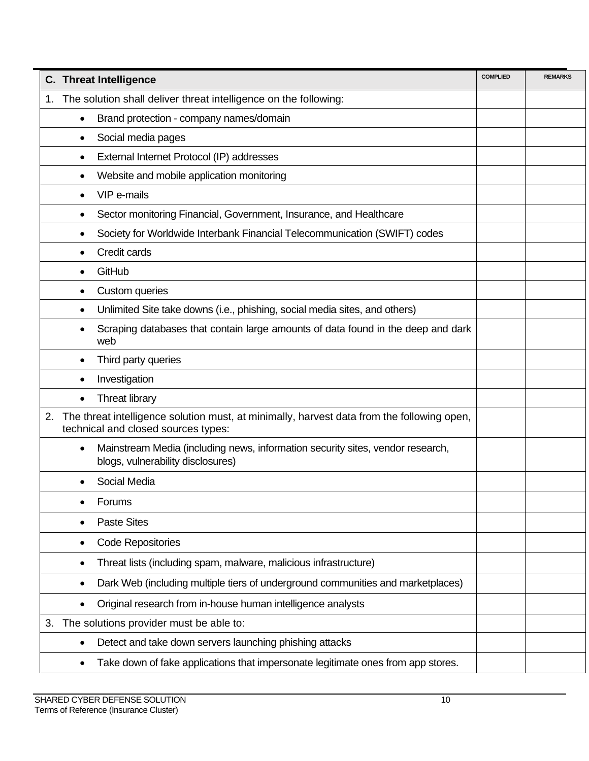| The solution shall deliver threat intelligence on the following:<br>1.<br>Brand protection - company names/domain<br>٠<br>Social media pages<br>٠<br>External Internet Protocol (IP) addresses<br>٠<br>Website and mobile application monitoring<br>٠<br>VIP e-mails<br>Sector monitoring Financial, Government, Insurance, and Healthcare<br>٠<br>Society for Worldwide Interbank Financial Telecommunication (SWIFT) codes<br>٠ |
|-----------------------------------------------------------------------------------------------------------------------------------------------------------------------------------------------------------------------------------------------------------------------------------------------------------------------------------------------------------------------------------------------------------------------------------|
|                                                                                                                                                                                                                                                                                                                                                                                                                                   |
|                                                                                                                                                                                                                                                                                                                                                                                                                                   |
|                                                                                                                                                                                                                                                                                                                                                                                                                                   |
|                                                                                                                                                                                                                                                                                                                                                                                                                                   |
|                                                                                                                                                                                                                                                                                                                                                                                                                                   |
|                                                                                                                                                                                                                                                                                                                                                                                                                                   |
|                                                                                                                                                                                                                                                                                                                                                                                                                                   |
|                                                                                                                                                                                                                                                                                                                                                                                                                                   |
| Credit cards                                                                                                                                                                                                                                                                                                                                                                                                                      |
| GitHub                                                                                                                                                                                                                                                                                                                                                                                                                            |
| Custom queries<br>٠                                                                                                                                                                                                                                                                                                                                                                                                               |
| Unlimited Site take downs (i.e., phishing, social media sites, and others)                                                                                                                                                                                                                                                                                                                                                        |
| Scraping databases that contain large amounts of data found in the deep and dark<br>web                                                                                                                                                                                                                                                                                                                                           |
| Third party queries<br>٠                                                                                                                                                                                                                                                                                                                                                                                                          |
| Investigation                                                                                                                                                                                                                                                                                                                                                                                                                     |
| <b>Threat library</b><br>$\bullet$                                                                                                                                                                                                                                                                                                                                                                                                |
| 2.<br>The threat intelligence solution must, at minimally, harvest data from the following open,<br>technical and closed sources types:                                                                                                                                                                                                                                                                                           |
| Mainstream Media (including news, information security sites, vendor research,<br>$\bullet$<br>blogs, vulnerability disclosures)                                                                                                                                                                                                                                                                                                  |
| Social Media                                                                                                                                                                                                                                                                                                                                                                                                                      |
| Forums                                                                                                                                                                                                                                                                                                                                                                                                                            |
| <b>Paste Sites</b>                                                                                                                                                                                                                                                                                                                                                                                                                |
| <b>Code Repositories</b><br>٠                                                                                                                                                                                                                                                                                                                                                                                                     |
| Threat lists (including spam, malware, malicious infrastructure)<br>٠                                                                                                                                                                                                                                                                                                                                                             |
| Dark Web (including multiple tiers of underground communities and marketplaces)<br>٠                                                                                                                                                                                                                                                                                                                                              |
| Original research from in-house human intelligence analysts                                                                                                                                                                                                                                                                                                                                                                       |
| The solutions provider must be able to:<br>3.                                                                                                                                                                                                                                                                                                                                                                                     |
| Detect and take down servers launching phishing attacks<br>٠                                                                                                                                                                                                                                                                                                                                                                      |
| Take down of fake applications that impersonate legitimate ones from app stores.                                                                                                                                                                                                                                                                                                                                                  |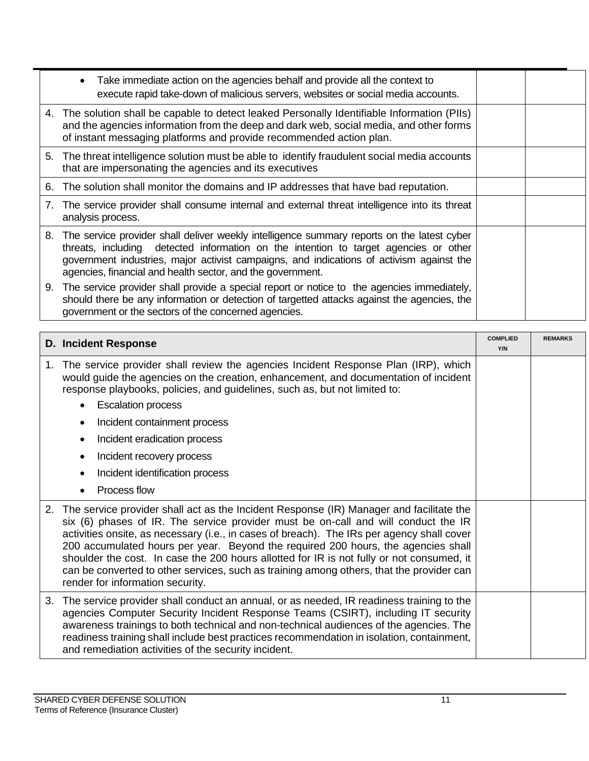| Take immediate action on the agencies behalf and provide all the context to<br>execute rapid take-down of malicious servers, websites or social media accounts.                                                                                                                                                                                    |  |
|----------------------------------------------------------------------------------------------------------------------------------------------------------------------------------------------------------------------------------------------------------------------------------------------------------------------------------------------------|--|
| 4. The solution shall be capable to detect leaked Personally Identifiable Information (PIIs)<br>and the agencies information from the deep and dark web, social media, and other forms<br>of instant messaging platforms and provide recommended action plan.                                                                                      |  |
| The threat intelligence solution must be able to identify fraudulent social media accounts<br>5.<br>that are impersonating the agencies and its executives                                                                                                                                                                                         |  |
| The solution shall monitor the domains and IP addresses that have bad reputation.<br>6.                                                                                                                                                                                                                                                            |  |
| The service provider shall consume internal and external threat intelligence into its threat<br>7.<br>analysis process.                                                                                                                                                                                                                            |  |
| The service provider shall deliver weekly intelligence summary reports on the latest cyber<br>8.<br>threats, including detected information on the intention to target agencies or other<br>government industries, major activist campaigns, and indications of activism against the<br>agencies, financial and health sector, and the government. |  |
| 9. The service provider shall provide a special report or notice to the agencies immediately,<br>should there be any information or detection of targetted attacks against the agencies, the<br>government or the sectors of the concerned agencies.                                                                                               |  |

|    | <b>D. Incident Response</b>                                                                                                                                                                                                                                                                                                                                                                                                                                                                                                                                                                   | <b>COMPLIED</b><br>Y/N | <b>REMARKS</b> |
|----|-----------------------------------------------------------------------------------------------------------------------------------------------------------------------------------------------------------------------------------------------------------------------------------------------------------------------------------------------------------------------------------------------------------------------------------------------------------------------------------------------------------------------------------------------------------------------------------------------|------------------------|----------------|
| 1. | The service provider shall review the agencies Incident Response Plan (IRP), which<br>would guide the agencies on the creation, enhancement, and documentation of incident<br>response playbooks, policies, and guidelines, such as, but not limited to:                                                                                                                                                                                                                                                                                                                                      |                        |                |
|    | <b>Escalation process</b>                                                                                                                                                                                                                                                                                                                                                                                                                                                                                                                                                                     |                        |                |
|    | Incident containment process                                                                                                                                                                                                                                                                                                                                                                                                                                                                                                                                                                  |                        |                |
|    | Incident eradication process                                                                                                                                                                                                                                                                                                                                                                                                                                                                                                                                                                  |                        |                |
|    | Incident recovery process                                                                                                                                                                                                                                                                                                                                                                                                                                                                                                                                                                     |                        |                |
|    | Incident identification process                                                                                                                                                                                                                                                                                                                                                                                                                                                                                                                                                               |                        |                |
|    | Process flow                                                                                                                                                                                                                                                                                                                                                                                                                                                                                                                                                                                  |                        |                |
| 2. | The service provider shall act as the Incident Response (IR) Manager and facilitate the<br>six (6) phases of IR. The service provider must be on-call and will conduct the IR<br>activities onsite, as necessary (i.e., in cases of breach). The IRs per agency shall cover<br>200 accumulated hours per year. Beyond the required 200 hours, the agencies shall<br>shoulder the cost. In case the 200 hours allotted for IR is not fully or not consumed, it<br>can be converted to other services, such as training among others, that the provider can<br>render for information security. |                        |                |
| 3. | The service provider shall conduct an annual, or as needed, IR readiness training to the<br>agencies Computer Security Incident Response Teams (CSIRT), including IT security<br>awareness trainings to both technical and non-technical audiences of the agencies. The<br>readiness training shall include best practices recommendation in isolation, containment,<br>and remediation activities of the security incident.                                                                                                                                                                  |                        |                |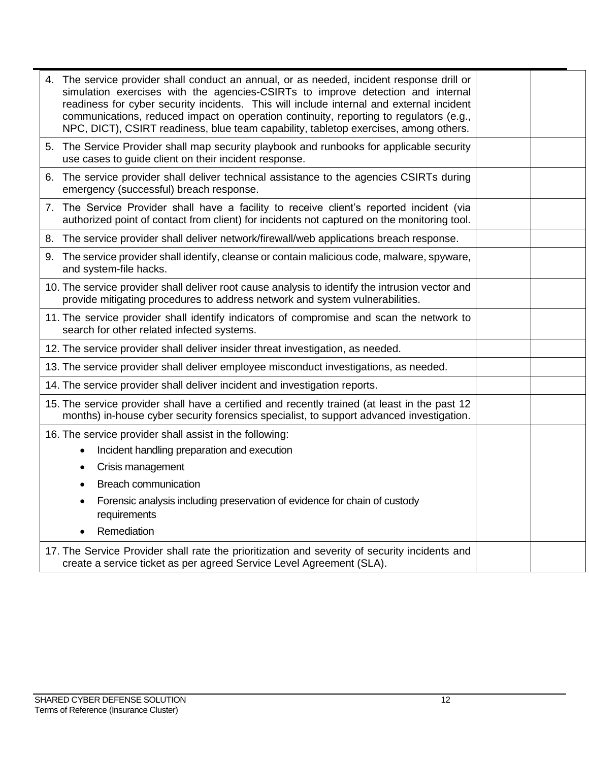|    | 4. The service provider shall conduct an annual, or as needed, incident response drill or<br>simulation exercises with the agencies-CSIRTs to improve detection and internal<br>readiness for cyber security incidents. This will include internal and external incident<br>communications, reduced impact on operation continuity, reporting to regulators (e.g.,<br>NPC, DICT), CSIRT readiness, blue team capability, tabletop exercises, among others. |  |
|----|------------------------------------------------------------------------------------------------------------------------------------------------------------------------------------------------------------------------------------------------------------------------------------------------------------------------------------------------------------------------------------------------------------------------------------------------------------|--|
|    | 5. The Service Provider shall map security playbook and runbooks for applicable security<br>use cases to guide client on their incident response.                                                                                                                                                                                                                                                                                                          |  |
| 6. | The service provider shall deliver technical assistance to the agencies CSIRTs during<br>emergency (successful) breach response.                                                                                                                                                                                                                                                                                                                           |  |
|    | 7. The Service Provider shall have a facility to receive client's reported incident (via<br>authorized point of contact from client) for incidents not captured on the monitoring tool.                                                                                                                                                                                                                                                                    |  |
|    | 8. The service provider shall deliver network/firewall/web applications breach response.                                                                                                                                                                                                                                                                                                                                                                   |  |
| 9. | The service provider shall identify, cleanse or contain malicious code, malware, spyware,<br>and system-file hacks.                                                                                                                                                                                                                                                                                                                                        |  |
|    | 10. The service provider shall deliver root cause analysis to identify the intrusion vector and<br>provide mitigating procedures to address network and system vulnerabilities.                                                                                                                                                                                                                                                                            |  |
|    | 11. The service provider shall identify indicators of compromise and scan the network to<br>search for other related infected systems.                                                                                                                                                                                                                                                                                                                     |  |
|    | 12. The service provider shall deliver insider threat investigation, as needed.                                                                                                                                                                                                                                                                                                                                                                            |  |
|    | 13. The service provider shall deliver employee misconduct investigations, as needed.                                                                                                                                                                                                                                                                                                                                                                      |  |
|    | 14. The service provider shall deliver incident and investigation reports.                                                                                                                                                                                                                                                                                                                                                                                 |  |
|    | 15. The service provider shall have a certified and recently trained (at least in the past 12<br>months) in-house cyber security forensics specialist, to support advanced investigation.                                                                                                                                                                                                                                                                  |  |
|    | 16. The service provider shall assist in the following:<br>Incident handling preparation and execution                                                                                                                                                                                                                                                                                                                                                     |  |
|    | Crisis management                                                                                                                                                                                                                                                                                                                                                                                                                                          |  |
|    | <b>Breach communication</b>                                                                                                                                                                                                                                                                                                                                                                                                                                |  |
|    | Forensic analysis including preservation of evidence for chain of custody<br>requirements                                                                                                                                                                                                                                                                                                                                                                  |  |
|    | Remediation                                                                                                                                                                                                                                                                                                                                                                                                                                                |  |
|    | 17. The Service Provider shall rate the prioritization and severity of security incidents and<br>create a service ticket as per agreed Service Level Agreement (SLA).                                                                                                                                                                                                                                                                                      |  |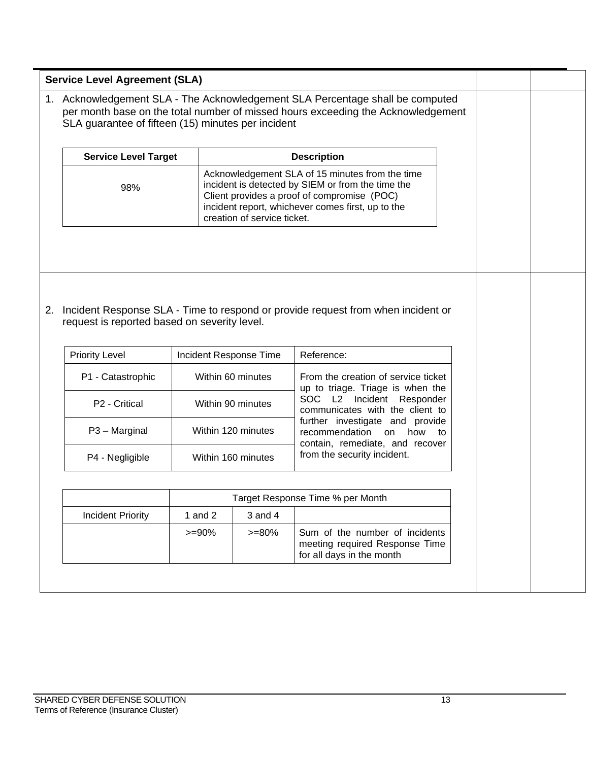| <b>Service Level Target</b><br>98%           |                       | creation of service ticket.            | <b>Description</b><br>Acknowledgement SLA of 15 minutes from the time<br>incident is detected by SIEM or from the time the<br>Client provides a proof of compromise (POC)<br>incident report, whichever comes first, up to the |
|----------------------------------------------|-----------------------|----------------------------------------|--------------------------------------------------------------------------------------------------------------------------------------------------------------------------------------------------------------------------------|
|                                              |                       |                                        |                                                                                                                                                                                                                                |
|                                              |                       |                                        |                                                                                                                                                                                                                                |
| request is reported based on severity level. |                       |                                        | Incident Response SLA - Time to respond or provide request from when incident or                                                                                                                                               |
| <b>Priority Level</b>                        |                       | Incident Response Time                 | Reference:                                                                                                                                                                                                                     |
| P1 - Catastrophic<br>P2 - Critical           |                       | Within 60 minutes<br>Within 90 minutes | From the creation of service ticket<br>up to triage. Triage is when the<br>SOC L2 Incident Responder<br>communicates with the client to                                                                                        |
| P3 - Marginal                                |                       | Within 120 minutes                     | further investigate and provide<br>recommendation<br>how<br>on<br>to                                                                                                                                                           |
| P4 - Negligible                              |                       | Within 160 minutes                     | contain, remediate, and recover<br>from the security incident.                                                                                                                                                                 |
|                                              |                       |                                        |                                                                                                                                                                                                                                |
|                                              |                       |                                        | Target Response Time % per Month                                                                                                                                                                                               |
| <b>Incident Priority</b>                     | 1 and $2$<br>$>= 90%$ | $3$ and $4$<br>$>= 80\%$               | Sum of the number of incidents                                                                                                                                                                                                 |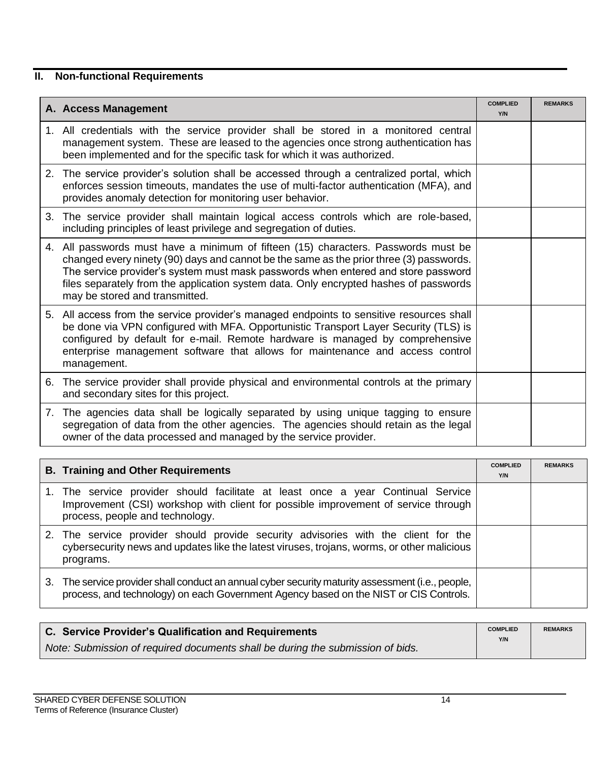# **II. Non-functional Requirements**

| A. Access Management                                                                                                                                                                                                                                                                                                                                                                          | <b>COMPLIED</b><br>Y/N | <b>REMARKS</b> |
|-----------------------------------------------------------------------------------------------------------------------------------------------------------------------------------------------------------------------------------------------------------------------------------------------------------------------------------------------------------------------------------------------|------------------------|----------------|
| 1. All credentials with the service provider shall be stored in a monitored central<br>management system. These are leased to the agencies once strong authentication has<br>been implemented and for the specific task for which it was authorized.                                                                                                                                          |                        |                |
| 2. The service provider's solution shall be accessed through a centralized portal, which<br>enforces session timeouts, mandates the use of multi-factor authentication (MFA), and<br>provides anomaly detection for monitoring user behavior.                                                                                                                                                 |                        |                |
| 3. The service provider shall maintain logical access controls which are role-based,<br>including principles of least privilege and segregation of duties.                                                                                                                                                                                                                                    |                        |                |
| 4. All passwords must have a minimum of fifteen (15) characters. Passwords must be<br>changed every ninety (90) days and cannot be the same as the prior three (3) passwords.<br>The service provider's system must mask passwords when entered and store password<br>files separately from the application system data. Only encrypted hashes of passwords<br>may be stored and transmitted. |                        |                |
| 5. All access from the service provider's managed endpoints to sensitive resources shall<br>be done via VPN configured with MFA. Opportunistic Transport Layer Security (TLS) is<br>configured by default for e-mail. Remote hardware is managed by comprehensive<br>enterprise management software that allows for maintenance and access control<br>management.                             |                        |                |
| 6. The service provider shall provide physical and environmental controls at the primary<br>and secondary sites for this project.                                                                                                                                                                                                                                                             |                        |                |
| 7. The agencies data shall be logically separated by using unique tagging to ensure<br>segregation of data from the other agencies. The agencies should retain as the legal<br>owner of the data processed and managed by the service provider.                                                                                                                                               |                        |                |

|    | <b>B. Training and Other Requirements</b>                                                                                                                                                                 | <b>COMPLIED</b><br>Y/N | <b>REMARKS</b> |
|----|-----------------------------------------------------------------------------------------------------------------------------------------------------------------------------------------------------------|------------------------|----------------|
|    | 1. The service provider should facilitate at least once a year Continual Service<br>Improvement (CSI) workshop with client for possible improvement of service through<br>process, people and technology. |                        |                |
|    | 2. The service provider should provide security advisories with the client for the<br>cybersecurity news and updates like the latest viruses, trojans, worms, or other malicious<br>programs.             |                        |                |
| 3. | The service provider shall conduct an annual cyber security maturity assessment (i.e., people,<br>process, and technology) on each Government Agency based on the NIST or CIS Controls.                   |                        |                |

| C. Service Provider's Qualification and Requirements                           | <b>COMPLIED</b><br>Y/N | <b>REMARKS</b> |
|--------------------------------------------------------------------------------|------------------------|----------------|
| Note: Submission of required documents shall be during the submission of bids. |                        |                |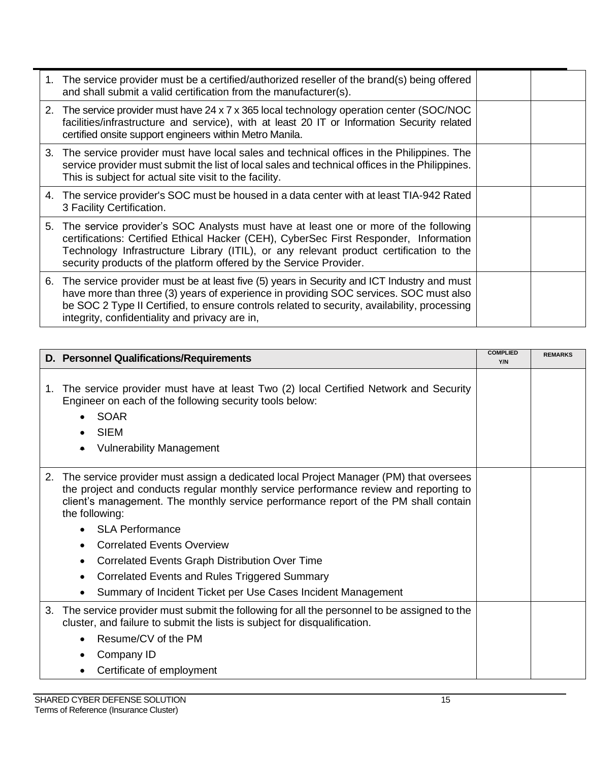| 1. The service provider must be a certified/authorized reseller of the brand(s) being offered<br>and shall submit a valid certification from the manufacturer(s).                                                                                                                                                                               |  |
|-------------------------------------------------------------------------------------------------------------------------------------------------------------------------------------------------------------------------------------------------------------------------------------------------------------------------------------------------|--|
| 2. The service provider must have 24 x 7 x 365 local technology operation center (SOC/NOC<br>facilities/infrastructure and service), with at least 20 IT or Information Security related<br>certified onsite support engineers within Metro Manila.                                                                                             |  |
| 3. The service provider must have local sales and technical offices in the Philippines. The<br>service provider must submit the list of local sales and technical offices in the Philippines.<br>This is subject for actual site visit to the facility.                                                                                         |  |
| 4. The service provider's SOC must be housed in a data center with at least TIA-942 Rated<br>3 Facility Certification.                                                                                                                                                                                                                          |  |
| 5. The service provider's SOC Analysts must have at least one or more of the following<br>certifications: Certified Ethical Hacker (CEH), CyberSec First Responder, Information<br>Technology Infrastructure Library (ITIL), or any relevant product certification to the<br>security products of the platform offered by the Service Provider. |  |
| 6. The service provider must be at least five (5) years in Security and ICT Industry and must<br>have more than three (3) years of experience in providing SOC services. SOC must also<br>be SOC 2 Type II Certified, to ensure controls related to security, availability, processing<br>integrity, confidentiality and privacy are in,        |  |

|    | D. Personnel Qualifications/Requirements                                                                                                                                                                                                                                                                                                                                                                                                                                                                                      | <b>COMPLIED</b><br>Y/N | <b>REMARKS</b> |
|----|-------------------------------------------------------------------------------------------------------------------------------------------------------------------------------------------------------------------------------------------------------------------------------------------------------------------------------------------------------------------------------------------------------------------------------------------------------------------------------------------------------------------------------|------------------------|----------------|
| 1. | The service provider must have at least Two (2) local Certified Network and Security<br>Engineer on each of the following security tools below:<br><b>SOAR</b><br><b>SIEM</b><br><b>Vulnerability Management</b>                                                                                                                                                                                                                                                                                                              |                        |                |
| 2. | The service provider must assign a dedicated local Project Manager (PM) that oversees<br>the project and conducts regular monthly service performance review and reporting to<br>client's management. The monthly service performance report of the PM shall contain<br>the following:<br><b>SLA Performance</b><br><b>Correlated Events Overview</b><br>Correlated Events Graph Distribution Over Time<br>٠<br>Correlated Events and Rules Triggered Summary<br>Summary of Incident Ticket per Use Cases Incident Management |                        |                |
| 3. | The service provider must submit the following for all the personnel to be assigned to the<br>cluster, and failure to submit the lists is subject for disqualification.<br>Resume/CV of the PM<br>Company ID<br>Certificate of employment                                                                                                                                                                                                                                                                                     |                        |                |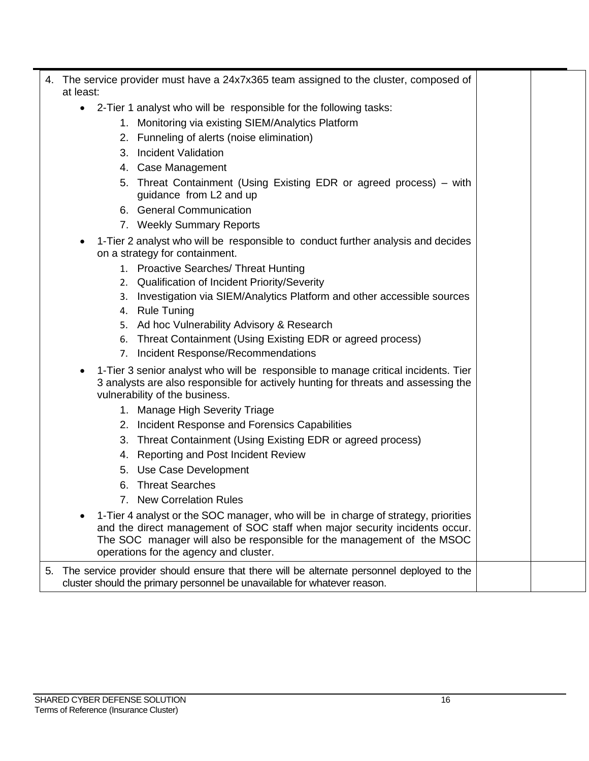|    | 4. The service provider must have a 24x7x365 team assigned to the cluster, composed of<br>at least:                                                                                                                                                                                    |  |
|----|----------------------------------------------------------------------------------------------------------------------------------------------------------------------------------------------------------------------------------------------------------------------------------------|--|
|    | 2-Tier 1 analyst who will be responsible for the following tasks:<br>$\bullet$                                                                                                                                                                                                         |  |
|    | Monitoring via existing SIEM/Analytics Platform<br>1.                                                                                                                                                                                                                                  |  |
|    | 2. Funneling of alerts (noise elimination)                                                                                                                                                                                                                                             |  |
|    | <b>Incident Validation</b><br>3.                                                                                                                                                                                                                                                       |  |
|    | 4. Case Management                                                                                                                                                                                                                                                                     |  |
|    | Threat Containment (Using Existing EDR or agreed process) – with<br>5.<br>guidance from L2 and up                                                                                                                                                                                      |  |
|    | 6. General Communication                                                                                                                                                                                                                                                               |  |
|    | 7. Weekly Summary Reports                                                                                                                                                                                                                                                              |  |
|    | 1-Tier 2 analyst who will be responsible to conduct further analysis and decides<br>on a strategy for containment.                                                                                                                                                                     |  |
|    | 1. Proactive Searches/ Threat Hunting                                                                                                                                                                                                                                                  |  |
|    | 2. Qualification of Incident Priority/Severity                                                                                                                                                                                                                                         |  |
|    | Investigation via SIEM/Analytics Platform and other accessible sources<br>3.                                                                                                                                                                                                           |  |
|    | <b>Rule Tuning</b><br>4.                                                                                                                                                                                                                                                               |  |
|    | Ad hoc Vulnerability Advisory & Research<br>5.                                                                                                                                                                                                                                         |  |
|    | Threat Containment (Using Existing EDR or agreed process)<br>6.                                                                                                                                                                                                                        |  |
|    | Incident Response/Recommendations<br>7.                                                                                                                                                                                                                                                |  |
|    | 1-Tier 3 senior analyst who will be responsible to manage critical incidents. Tier<br>3 analysts are also responsible for actively hunting for threats and assessing the<br>vulnerability of the business.                                                                             |  |
|    | 1. Manage High Severity Triage                                                                                                                                                                                                                                                         |  |
|    | Incident Response and Forensics Capabilities<br>2.                                                                                                                                                                                                                                     |  |
|    | Threat Containment (Using Existing EDR or agreed process)<br>3.                                                                                                                                                                                                                        |  |
|    | <b>Reporting and Post Incident Review</b><br>4.                                                                                                                                                                                                                                        |  |
|    | 5. Use Case Development                                                                                                                                                                                                                                                                |  |
|    | <b>Threat Searches</b><br>6.                                                                                                                                                                                                                                                           |  |
|    | <b>New Correlation Rules</b>                                                                                                                                                                                                                                                           |  |
|    | 1-Tier 4 analyst or the SOC manager, who will be in charge of strategy, priorities<br>and the direct management of SOC staff when major security incidents occur.<br>The SOC manager will also be responsible for the management of the MSOC<br>operations for the agency and cluster. |  |
| 5. | The service provider should ensure that there will be alternate personnel deployed to the<br>cluster should the primary personnel be unavailable for whatever reason.                                                                                                                  |  |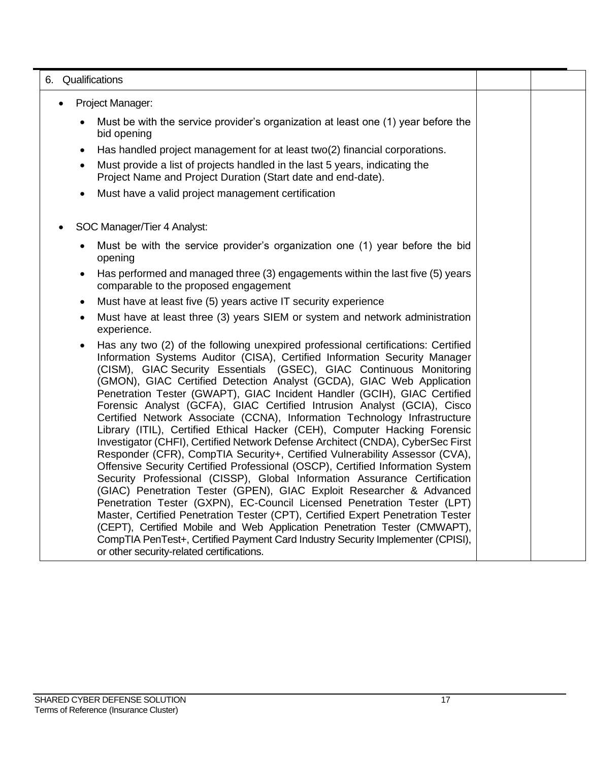#### 6. Qualifications

- Project Manager:
	- Must be with the service provider's organization at least one (1) year before the bid opening
	- Has handled project management for at least two(2) financial corporations.
	- Must provide a list of projects handled in the last 5 years, indicating the Project Name and Project Duration (Start date and end-date).
	- Must have a valid project management certification
- SOC Manager/Tier 4 Analyst:
	- Must be with the service provider's organization one (1) year before the bid opening
	- Has performed and managed three (3) engagements within the last five (5) years comparable to the proposed engagement
	- Must have at least five (5) years active IT security experience
	- Must have at least three (3) years SIEM or system and network administration experience.
	- Has any two (2) of the following unexpired professional certifications: Certified Information Systems Auditor (CISA), Certified Information Security Manager (CISM), GIAC Security Essentials (GSEC), GIAC Continuous Monitoring (GMON), GIAC Certified Detection Analyst (GCDA), GIAC Web Application Penetration Tester (GWAPT), GIAC Incident Handler (GCIH), GIAC Certified Forensic Analyst (GCFA), GIAC Certified Intrusion Analyst (GCIA), Cisco Certified Network Associate (CCNA), Information Technology Infrastructure Library (ITIL), Certified Ethical Hacker (CEH), Computer Hacking Forensic Investigator (CHFI), Certified Network Defense Architect (CNDA), CyberSec First Responder (CFR), CompTIA Security+, Certified Vulnerability Assessor (CVA), Offensive Security Certified Professional (OSCP), Certified Information System Security Professional (CISSP), Global Information Assurance Certification (GIAC) Penetration Tester (GPEN), GIAC Exploit Researcher & Advanced Penetration Tester (GXPN), EC-Council Licensed Penetration Tester (LPT) Master, Certified Penetration Tester (CPT), Certified Expert Penetration Tester (CEPT), Certified Mobile and Web Application Penetration Tester (CMWAPT), CompTIA PenTest+, Certified Payment Card Industry Security Implementer (CPISI), or other security-related certifications.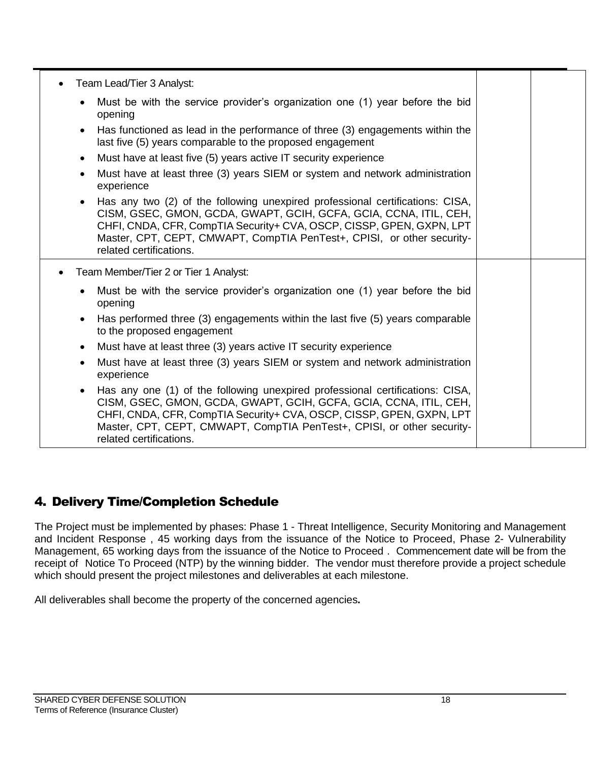|           | Team Lead/Tier 3 Analyst:                                                                                                                                                                                                                                                                                                       |  |
|-----------|---------------------------------------------------------------------------------------------------------------------------------------------------------------------------------------------------------------------------------------------------------------------------------------------------------------------------------|--|
| $\bullet$ | Must be with the service provider's organization one (1) year before the bid<br>opening                                                                                                                                                                                                                                         |  |
| $\bullet$ | Has functioned as lead in the performance of three (3) engagements within the<br>last five (5) years comparable to the proposed engagement                                                                                                                                                                                      |  |
| $\bullet$ | Must have at least five (5) years active IT security experience                                                                                                                                                                                                                                                                 |  |
| $\bullet$ | Must have at least three (3) years SIEM or system and network administration<br>experience                                                                                                                                                                                                                                      |  |
| $\bullet$ | Has any two (2) of the following unexpired professional certifications: CISA,<br>CISM, GSEC, GMON, GCDA, GWAPT, GCIH, GCFA, GCIA, CCNA, ITIL, CEH,<br>CHFI, CNDA, CFR, CompTIA Security+ CVA, OSCP, CISSP, GPEN, GXPN, LPT<br>Master, CPT, CEPT, CMWAPT, CompTIA PenTest+, CPISI, or other security-<br>related certifications. |  |
| $\bullet$ | Team Member/Tier 2 or Tier 1 Analyst:                                                                                                                                                                                                                                                                                           |  |
| $\bullet$ | Must be with the service provider's organization one (1) year before the bid<br>opening                                                                                                                                                                                                                                         |  |
| $\bullet$ | Has performed three (3) engagements within the last five (5) years comparable<br>to the proposed engagement                                                                                                                                                                                                                     |  |
| $\bullet$ | Must have at least three (3) years active IT security experience                                                                                                                                                                                                                                                                |  |
| $\bullet$ | Must have at least three (3) years SIEM or system and network administration<br>experience                                                                                                                                                                                                                                      |  |
| $\bullet$ | Has any one (1) of the following unexpired professional certifications: CISA,<br>CISM, GSEC, GMON, GCDA, GWAPT, GCIH, GCFA, GCIA, CCNA, ITIL, CEH,<br>CHFI, CNDA, CFR, CompTIA Security+ CVA, OSCP, CISSP, GPEN, GXPN, LPT<br>Master, CPT, CEPT, CMWAPT, CompTIA PenTest+, CPISI, or other security-<br>related certifications. |  |

## 4. Delivery Time/Completion Schedule

The Project must be implemented by phases: Phase 1 - Threat Intelligence, Security Monitoring and Management and Incident Response , 45 working days from the issuance of the Notice to Proceed, Phase 2- Vulnerability Management, 65 working days from the issuance of the Notice to Proceed . Commencement date will be from the receipt of Notice To Proceed (NTP) by the winning bidder. The vendor must therefore provide a project schedule which should present the project milestones and deliverables at each milestone.

All deliverables shall become the property of the concerned agencies**.**